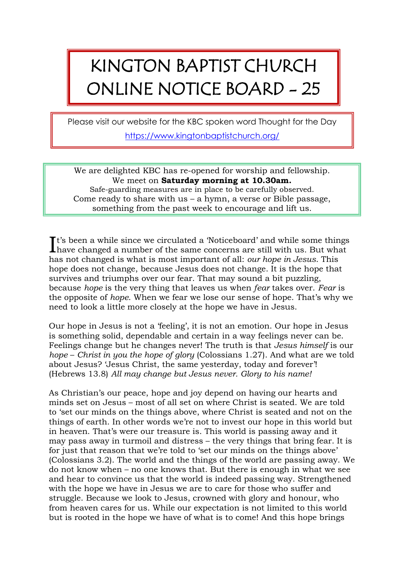## KINGTON BAPTIST CHURCH ONLINE NOTICE BOARD - 25

Please visit our website for the KBC spoken word Thought for the Day <https://www.kingtonbaptistchurch.org/>

We are delighted KBC has re-opened for worship and fellowship. We meet on **Saturday morning at 10.30am.** Safe-guarding measures are in place to be carefully observed. Come ready to share with  $us - a$  hymn, a verse or Bible passage, something from the past week to encourage and lift us.

t's been a while since we circulated a 'Noticeboard' and while some things It's been a while since we circulated a 'Noticeboard' and while some things<br>have changed a number of the same concerns are still with us. But what has not changed is what is most important of all: *our hope in Jesus*. This hope does not change, because Jesus does not change. It is the hope that survives and triumphs over our fear. That may sound a bit puzzling, because *hope* is the very thing that leaves us when *fear* takes over. *Fear* is the opposite of *hope*. When we fear we lose our sense of hope. That's why we need to look a little more closely at the hope we have in Jesus.

Our hope in Jesus is not a 'feeling', it is not an emotion. Our hope in Jesus is something solid, dependable and certain in a way feelings never can be. Feelings change but he changes never! The truth is that *Jesus himself* is our *hope* – *Christ in you the hope of glory* (Colossians 1.27). And what are we told about Jesus? 'Jesus Christ, the same yesterday, today and forever'! (Hebrews 13.8) *All may change but Jesus never. Glory to his name!*

As Christian's our peace, hope and joy depend on having our hearts and minds set on Jesus – most of all set on where Christ is seated. We are told to 'set our minds on the things above, where Christ is seated and not on the things of earth. In other words we're not to invest our hope in this world but in heaven. That's were our treasure is. This world is passing away and it may pass away in turmoil and distress – the very things that bring fear. It is for just that reason that we're told to 'set our minds on the things above' (Colossians 3.2). The world and the things of the world are passing away. We do not know when – no one knows that. But there is enough in what we see and hear to convince us that the world is indeed passing way. Strengthened with the hope we have in Jesus we are to care for those who suffer and struggle. Because we look to Jesus, crowned with glory and honour, who from heaven cares for us. While our expectation is not limited to this world but is rooted in the hope we have of what is to come! And this hope brings